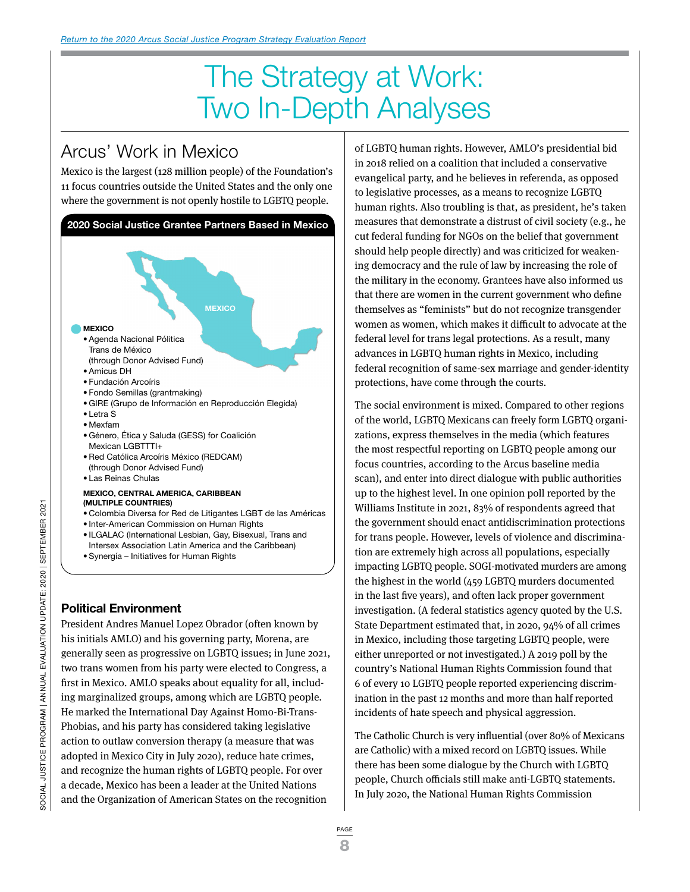# The Strategy at Work: Two In-Depth Analyses

## Arcus' Work in Mexico

Mexico is the largest (128 million people) of the Foundation's 11 focus countries outside the United States and the only one where the government is not openly hostile to LGBTQ people.



### **Political Environment**

President Andres Manuel Lopez Obrador (often known by his initials AMLO) and his governing party, Morena, are generally seen as progressive on LGBTQ issues; in June 2021, two trans women from his party were elected to Congress, a first in Mexico. AMLO speaks about equality for all, including marginalized groups, among which are LGBTQ people. He marked the International Day Against Homo-Bi-Trans-Phobias, and his party has considered taking legislative action to outlaw conversion therapy (a measure that was adopted in Mexico City in July 2020), reduce hate crimes, and recognize the human rights of LGBTQ people. For over a decade, Mexico has been a leader at the United Nations and the Organization of American States on the recognition

of LGBTQ human rights. However, AMLO's presidential bid in 2018 relied on a coalition that included a conservative evangelical party, and he believes in referenda, as opposed to legislative processes, as a means to recognize LGBTQ human rights. Also troubling is that, as president, he's taken measures that demonstrate a distrust of civil society (e.g., he cut federal funding for NGOs on the belief that government should help people directly) and was criticized for weakening democracy and the rule of law by increasing the role of the military in the economy. Grantees have also informed us that there are women in the current government who define themselves as "feminists" but do not recognize transgender women as women, which makes it difficult to advocate at the federal level for trans legal protections. As a result, many advances in LGBTQ human rights in Mexico, including federal recognition of same-sex marriage and gender-identity protections, have come through the courts.

The social environment is mixed. Compared to other regions of the world, LGBTQ Mexicans can freely form LGBTQ organizations, express themselves in the media (which features the most respectful reporting on LGBTQ people among our focus countries, according to the Arcus baseline media scan), and enter into direct dialogue with public authorities up to the highest level. In one opinion poll reported by the Williams Institute in 2021, 83% of respondents agreed that the government should enact antidiscrimination protections for trans people. However, levels of violence and discrimination are extremely high across all populations, especially impacting LGBTQ people. SOGI-motivated murders are among the highest in the world (459 LGBTQ murders documented in the last five years), and often lack proper government investigation. (A federal statistics agency quoted by the U.S. State Department estimated that, in 2020, 94% of all crimes in Mexico, including those targeting LGBTQ people, were either unreported or not investigated.) A 2019 poll by the country's National Human Rights Commission found that 6 of every 10 LGBTQ people reported experiencing discrimination in the past 12 months and more than half reported incidents of hate speech and physical aggression.

The Catholic Church is very influential (over 80% of Mexicans are Catholic) with a mixed record on LGBTQ issues. While there has been some dialogue by the Church with LGBTQ people, Church officials still make anti-LGBTQ statements. In July 2020, the National Human Rights Commission

```
PAGE
```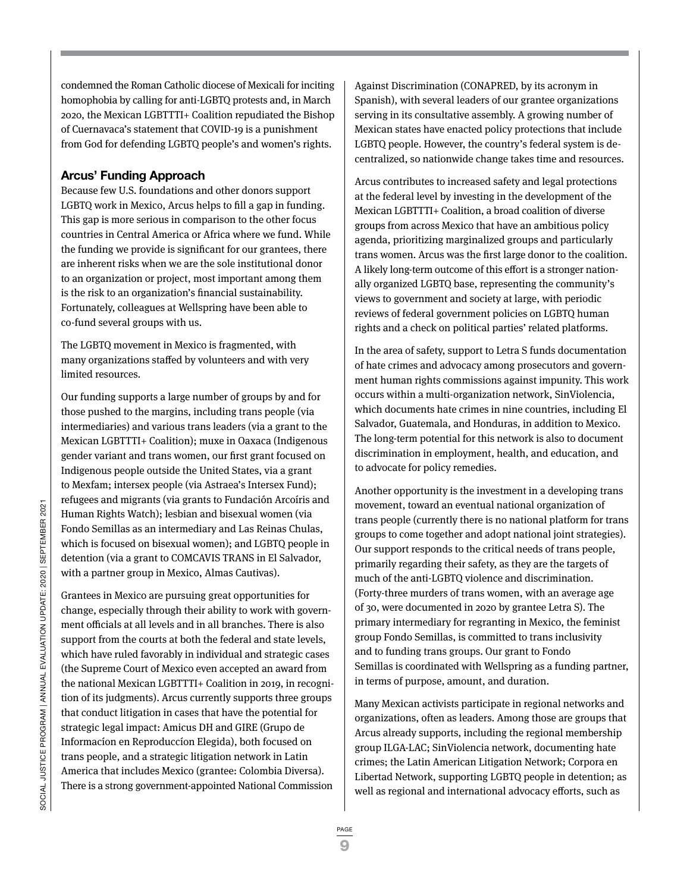condemned the Roman Catholic diocese of Mexicali for inciting homophobia by calling for anti-LGBTQ protests and, in March 2020, the Mexican LGBTTTI+ Coalition repudiated the Bishop of Cuernavaca's statement that COVID-19 is a punishment from God for defending LGBTQ people's and women's rights.

### **Arcus' Funding Approach**

Because few U.S. foundations and other donors support LGBTQ work in Mexico, Arcus helps to fill a gap in funding. This gap is more serious in comparison to the other focus countries in Central America or Africa where we fund. While the funding we provide is significant for our grantees, there are inherent risks when we are the sole institutional donor to an organization or project, most important among them is the risk to an organization's financial sustainability. Fortunately, colleagues at Wellspring have been able to co-fund several groups with us.

The LGBTQ movement in Mexico is fragmented, with many organizations staffed by volunteers and with very limited resources.

Our funding supports a large number of groups by and for those pushed to the margins, including trans people (via intermediaries) and various trans leaders (via a grant to the Mexican LGBTTTI+ Coalition); muxe in Oaxaca (Indigenous gender variant and trans women, our first grant focused on Indigenous people outside the United States, via a grant to Mexfam; intersex people (via Astraea's Intersex Fund); refugees and migrants (via grants to Fundación Arcoíris and Human Rights Watch); lesbian and bisexual women (via Fondo Semillas as an intermediary and Las Reinas Chulas, which is focused on bisexual women); and LGBTQ people in detention (via a grant to COMCAVIS TRANS in El Salvador, with a partner group in Mexico, Almas Cautivas).

Grantees in Mexico are pursuing great opportunities for change, especially through their ability to work with government officials at all levels and in all branches. There is also support from the courts at both the federal and state levels, which have ruled favorably in individual and strategic cases (the Supreme Court of Mexico even accepted an award from the national Mexican LGBTTTI+ Coalition in 2019, in recognition of its judgments). Arcus currently supports three groups that conduct litigation in cases that have the potential for strategic legal impact: Amicus DH and GIRE (Grupo de Informacíon en Reproduccíon Elegida), both focused on trans people, and a strategic litigation network in Latin America that includes Mexico (grantee: Colombia Diversa). There is a strong government-appointed National Commission Against Discrimination (CONAPRED, by its acronym in Spanish), with several leaders of our grantee organizations serving in its consultative assembly. A growing number of Mexican states have enacted policy protections that include LGBTQ people. However, the country's federal system is decentralized, so nationwide change takes time and resources.

Arcus contributes to increased safety and legal protections at the federal level by investing in the development of the Mexican LGBTTTI+ Coalition, a broad coalition of diverse groups from across Mexico that have an ambitious policy agenda, prioritizing marginalized groups and particularly trans women. Arcus was the first large donor to the coalition. A likely long-term outcome of this effort is a stronger nationally organized LGBTQ base, representing the community's views to government and society at large, with periodic reviews of federal government policies on LGBTQ human rights and a check on political parties' related platforms.

In the area of safety, support to Letra S funds documentation of hate crimes and advocacy among prosecutors and government human rights commissions against impunity. This work occurs within a multi-organization network, SinViolencia, which documents hate crimes in nine countries, including El Salvador, Guatemala, and Honduras, in addition to Mexico. The long-term potential for this network is also to document discrimination in employment, health, and education, and to advocate for policy remedies.

Another opportunity is the investment in a developing trans movement, toward an eventual national organization of trans people (currently there is no national platform for trans groups to come together and adopt national joint strategies). Our support responds to the critical needs of trans people, primarily regarding their safety, as they are the targets of much of the anti-LGBTQ violence and discrimination. (Forty-three murders of trans women, with an average age of 30, were documented in 2020 by grantee Letra S). The primary intermediary for regranting in Mexico, the feminist group Fondo Semillas, is committed to trans inclusivity and to funding trans groups. Our grant to Fondo Semillas is coordinated with Wellspring as a funding partner, in terms of purpose, amount, and duration.

Many Mexican activists participate in regional networks and organizations, often as leaders. Among those are groups that Arcus already supports, including the regional membership group ILGA-LAC; SinViolencia network, documenting hate crimes; the Latin American Litigation Network; Corpora en Libertad Network, supporting LGBTQ people in detention; as well as regional and international advocacy efforts, such as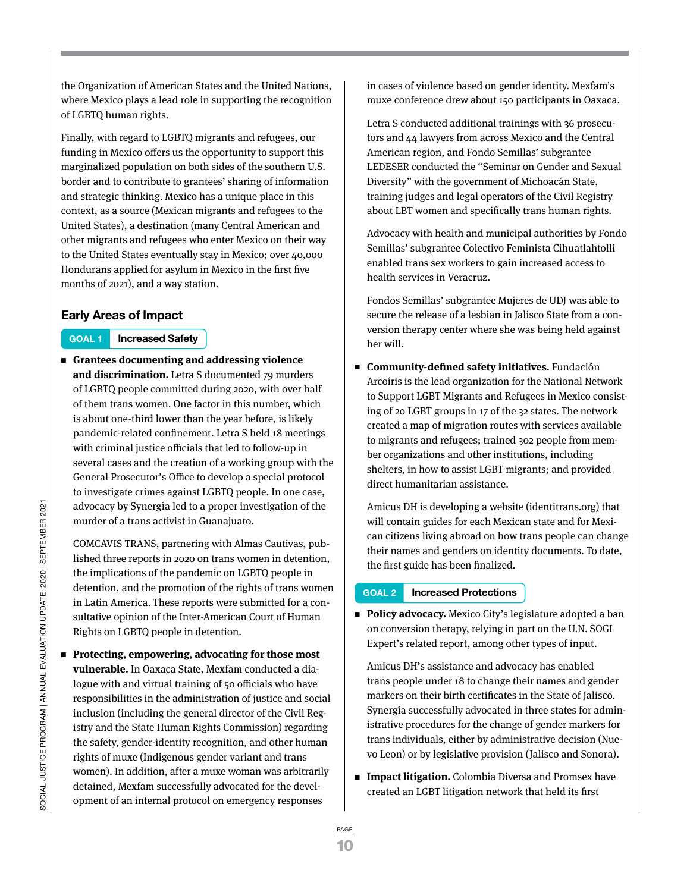the Organization of American States and the United Nations, where Mexico plays a lead role in supporting the recognition of LGBTQ human rights.

Finally, with regard to LGBTQ migrants and refugees, our funding in Mexico offers us the opportunity to support this marginalized population on both sides of the southern U.S. border and to contribute to grantees' sharing of information and strategic thinking. Mexico has a unique place in this context, as a source (Mexican migrants and refugees to the United States), a destination (many Central American and other migrants and refugees who enter Mexico on their way to the United States eventually stay in Mexico; over 40,000 Hondurans applied for asylum in Mexico in the first five months of 2021), and a way station.

### **Early Areas of Impact**

### **GOAL 1 Increased Safety**

<sup>n</sup> **Grantees documenting and addressing violence and discrimination.** Letra S documented 79 murders of LGBTQ people committed during 2020, with over half of them trans women. One factor in this number, which is about one-third lower than the year before, is likely pandemic-related confinement. Letra S held 18 meetings with criminal justice officials that led to follow-up in several cases and the creation of a working group with the General Prosecutor's Office to develop a special protocol to investigate crimes against LGBTQ people. In one case, advocacy by SynergÍa led to a proper investigation of the murder of a trans activist in Guanajuato.

COMCAVIS TRANS, partnering with Almas Cautivas, published three reports in 2020 on trans women in detention, the implications of the pandemic on LGBTQ people in detention, and the promotion of the rights of trans women in Latin America. These reports were submitted for a consultative opinion of the Inter-American Court of Human Rights on LGBTQ people in detention.

<sup>n</sup> **Protecting, empowering, advocating for those most vulnerable.** In Oaxaca State, Mexfam conducted a dialogue with and virtual training of 50 officials who have responsibilities in the administration of justice and social inclusion (including the general director of the Civil Registry and the State Human Rights Commission) regarding the safety, gender-identity recognition, and other human rights of muxe (Indigenous gender variant and trans women). In addition, after a muxe woman was arbitrarily detained, Mexfam successfully advocated for the development of an internal protocol on emergency responses

in cases of violence based on gender identity. Mexfam's muxe conference drew about 150 participants in Oaxaca.

Letra S conducted additional trainings with 36 prosecutors and 44 lawyers from across Mexico and the Central American region, and Fondo Semillas' subgrantee LEDESER conducted the "Seminar on Gender and Sexual Diversity" with the government of Michoacán State, training judges and legal operators of the Civil Registry about LBT women and specifically trans human rights.

Advocacy with health and municipal authorities by Fondo Semillas' subgrantee Colectivo Feminista Cihuatlahtolli enabled trans sex workers to gain increased access to health services in Veracruz.

Fondos Semillas' subgrantee Mujeres de UDJ was able to secure the release of a lesbian in Jalisco State from a conversion therapy center where she was being held against her will.

<sup>n</sup> **Community-defined safety initiatives.** Fundación Arcoíris is the lead organization for the National Network to Support LGBT Migrants and Refugees in Mexico consisting of 20 LGBT groups in 17 of the 32 states. The network created a map of migration routes with services available to migrants and refugees; trained 302 people from member organizations and other institutions, including shelters, in how to assist LGBT migrants; and provided direct humanitarian assistance.

Amicus DH is developing a website (identitrans.org) that will contain guides for each Mexican state and for Mexican citizens living abroad on how trans people can change their names and genders on identity documents. To date, the first guide has been finalized.

### **GOAL 2 Increased Protections**

**Policy advocacy.** Mexico City's legislature adopted a ban on conversion therapy, relying in part on the U.N. SOGI Expert's related report, among other types of input.

Amicus DH's assistance and advocacy has enabled trans people under 18 to change their names and gender markers on their birth certificates in the State of Jalisco. Synergía successfully advocated in three states for administrative procedures for the change of gender markers for trans individuals, either by administrative decision (Nuevo Leon) or by legislative provision (Jalisco and Sonora).

■ **Impact litigation.** Colombia Diversa and Promsex have created an LGBT litigation network that held its first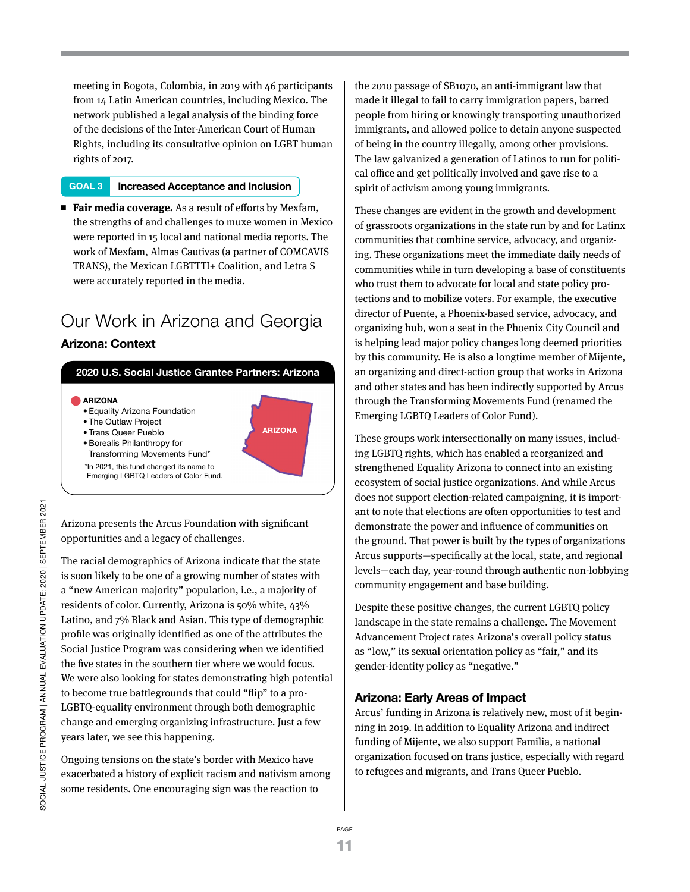meeting in Bogota, Colombia, in 2019 with 46 participants from 14 Latin American countries, including Mexico. The network published a legal analysis of the binding force of the decisions of the Inter-American Court of Human Rights, including its consultative opinion on LGBT human rights of 2017.

### **GOAL 3 Increased Acceptance and Inclusion**

■ **Fair media coverage.** As a result of efforts by Mexfam, the strengths of and challenges to muxe women in Mexico were reported in 15 local and national media reports. The work of Mexfam, Almas Cautivas (a partner of COMCAVIS TRANS), the Mexican LGBTTTI+ Coalition, and Letra S were accurately reported in the media.

### Our Work in Arizona and Georgia **Arizona: Context**



**ARIZONA**

- **ARIZONA**
- Equality Arizona Foundation
- The Outlaw Project
- Trans Queer Pueblo
- Borealis Philanthropy for Transforming Movements Fund\*
- \*In 2021, this fund changed its name to

Emerging LGBTQ Leaders of Color Fund.

Arizona presents the Arcus Foundation with significant opportunities and a legacy of challenges.

The racial demographics of Arizona indicate that the state is soon likely to be one of a growing number of states with a "new American majority" population, i.e., a majority of residents of color. Currently, Arizona is 50% white, 43% Latino, and 7% Black and Asian. This type of demographic profile was originally identified as one of the attributes the Social Justice Program was considering when we identified the five states in the southern tier where we would focus. We were also looking for states demonstrating high potential to become true battlegrounds that could "flip" to a pro-LGBTQ-equality environment through both demographic change and emerging organizing infrastructure. Just a few years later, we see this happening.

Ongoing tensions on the state's border with Mexico have exacerbated a history of explicit racism and nativism among some residents. One encouraging sign was the reaction to

the 2010 passage of SB1070, an anti-immigrant law that made it illegal to fail to carry immigration papers, barred people from hiring or knowingly transporting unauthorized immigrants, and allowed police to detain anyone suspected of being in the country illegally, among other provisions. The law galvanized a generation of Latinos to run for political office and get politically involved and gave rise to a spirit of activism among young immigrants.

These changes are evident in the growth and development of grassroots organizations in the state run by and for Latinx communities that combine service, advocacy, and organizing. These organizations meet the immediate daily needs of communities while in turn developing a base of constituents who trust them to advocate for local and state policy protections and to mobilize voters. For example, the executive director of Puente, a Phoenix-based service, advocacy, and organizing hub, won a seat in the Phoenix City Council and is helping lead major policy changes long deemed priorities by this community. He is also a longtime member of Mijente, an organizing and direct-action group that works in Arizona and other states and has been indirectly supported by Arcus through the Transforming Movements Fund (renamed the Emerging LGBTQ Leaders of Color Fund).

These groups work intersectionally on many issues, including LGBTQ rights, which has enabled a reorganized and strengthened Equality Arizona to connect into an existing ecosystem of social justice organizations. And while Arcus does not support election-related campaigning, it is important to note that elections are often opportunities to test and demonstrate the power and influence of communities on the ground. That power is built by the types of organizations Arcus supports—specifically at the local, state, and regional levels—each day, year-round through authentic non-lobbying community engagement and base building.

Despite these positive changes, the current LGBTQ policy landscape in the state remains a challenge. The Movement Advancement Project rates Arizona's overall policy status as "low," its sexual orientation policy as "fair," and its gender-identity policy as "negative."

### **Arizona: Early Areas of Impact**

Arcus' funding in Arizona is relatively new, most of it beginning in 2019. In addition to Equality Arizona and indirect funding of Mijente, we also support Familia, a national organization focused on trans justice, especially with regard to refugees and migrants, and Trans Queer Pueblo.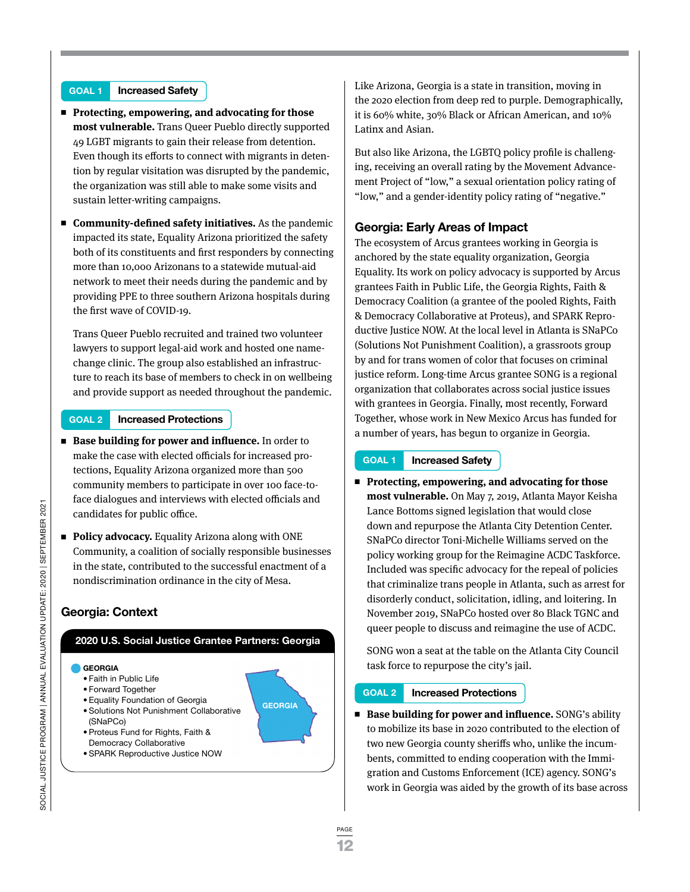### **GOAL 1 Increased Safety**

- Protecting, empowering, and advocating for those **most vulnerable.** Trans Queer Pueblo directly supported 49 LGBT migrants to gain their release from detention. Even though its efforts to connect with migrants in detention by regular visitation was disrupted by the pandemic, the organization was still able to make some visits and sustain letter-writing campaigns.
- <sup>n</sup> **Community-defined safety initiatives.** As the pandemic impacted its state, Equality Arizona prioritized the safety both of its constituents and first responders by connecting more than 10,000 Arizonans to a statewide mutual-aid network to meet their needs during the pandemic and by providing PPE to three southern Arizona hospitals during the first wave of COVID-19.

Trans Queer Pueblo recruited and trained two volunteer lawyers to support legal-aid work and hosted one namechange clinic. The group also established an infrastructure to reach its base of members to check in on wellbeing and provide support as needed throughout the pandemic.

### **GOAL 2 Increased Protections**

- Base building for power and influence. In order to make the case with elected officials for increased protections, Equality Arizona organized more than 500 community members to participate in over 100 face-toface dialogues and interviews with elected officials and candidates for public office.
- Policy advocacy. Equality Arizona along with ONE Community, a coalition of socially responsible businesses in the state, contributed to the successful enactment of a nondiscrimination ordinance in the city of Mesa.

### **Georgia: Context**

### **2020 U.S. Social Justice Grantee Partners: Georgia**

- **GEORGIA**
- Faith in Public Life
- Forward Together
- Equality Foundation of Georgia
- Solutions Not Punishment Collaborative (SNaPCo)
- Proteus Fund for Rights, Faith & Democracy Collaborative
- SPARK Reproductive Justice NOW

Like Arizona, Georgia is a state in transition, moving in the 2020 election from deep red to purple. Demographically, it is 60% white, 30% Black or African American, and 10% Latinx and Asian.

But also like Arizona, the LGBTQ policy profile is challenging, receiving an overall rating by the Movement Advancement Project of "low," a sexual orientation policy rating of "low," and a gender-identity policy rating of "negative."

### **Georgia: Early Areas of Impact**

The ecosystem of Arcus grantees working in Georgia is anchored by the state equality organization, Georgia Equality. Its work on policy advocacy is supported by Arcus grantees Faith in Public Life, the Georgia Rights, Faith & Democracy Coalition (a grantee of the pooled Rights, Faith & Democracy Collaborative at Proteus), and SPARK Reproductive Justice NOW. At the local level in Atlanta is SNaPCo (Solutions Not Punishment Coalition), a grassroots group by and for trans women of color that focuses on criminal justice reform. Long-time Arcus grantee SONG is a regional organization that collaborates across social justice issues with grantees in Georgia. Finally, most recently, Forward Together, whose work in New Mexico Arcus has funded for a number of years, has begun to organize in Georgia.

#### **GOAL 1 Increased Safety**

■ Protecting, empowering, and advocating for those **most vulnerable.** On May 7, 2019, Atlanta Mayor Keisha Lance Bottoms signed legislation that would close down and repurpose the Atlanta City Detention Center. SNaPCo director Toni-Michelle Williams served on the policy working group for the Reimagine ACDC Taskforce. Included was specific advocacy for the repeal of policies that criminalize trans people in Atlanta, such as arrest for disorderly conduct, solicitation, idling, and loitering. In November 2019, SNaPCo hosted over 80 Black TGNC and queer people to discuss and reimagine the use of ACDC.

SONG won a seat at the table on the Atlanta City Council task force to repurpose the city's jail.

### **GOAL 2 Increased Protections**

■ Base building for power and influence. SONG's ability to mobilize its base in 2020 contributed to the election of two new Georgia county sheriffs who, unlike the incumbents, committed to ending cooperation with the Immigration and Customs Enforcement (ICE) agency. SONG's work in Georgia was aided by the growth of its base across